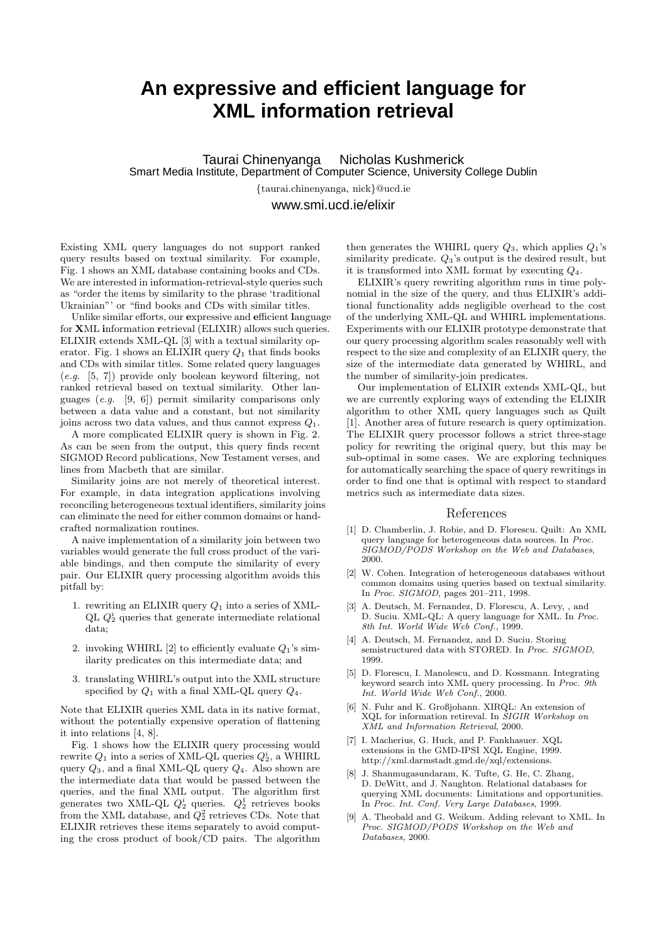## **An expressive and efficient language for XML information retrieval**

Taurai Chinenyanga Nicholas Kushmerick Smart Media Institute, Department of Computer Science, University College Dublin

{taurai.chinenyanga, nick}@ucd.ie

www.smi.ucd.ie/elixir

Existing XML query languages do not support ranked query results based on textual similarity. For example, Fig. 1 shows an XML database containing books and CDs. We are interested in information-retrieval-style queries such as "order the items by similarity to the phrase 'traditional Ukrainian"' or "find books and CDs with similar titles.

Unlike similar efforts, our expressive and efficient language for XML information retrieval (ELIXIR) allows such queries. ELIXIR extends XML-QL [3] with a textual similarity operator. Fig. 1 shows an ELIXIR query  $Q_1$  that finds books and CDs with similar titles. Some related query languages (e.g. [5, 7]) provide only boolean keyword filtering, not ranked retrieval based on textual similarity. Other languages (e.g. [9, 6]) permit similarity comparisons only between a data value and a constant, but not similarity joins across two data values, and thus cannot express  $Q_1$ .

A more complicated ELIXIR query is shown in Fig. 2. As can be seen from the output, this query finds recent SIGMOD Record publications, New Testament verses, and lines from Macbeth that are similar.

Similarity joins are not merely of theoretical interest. For example, in data integration applications involving reconciling heterogeneous textual identifiers, similarity joins can eliminate the need for either common domains or handcrafted normalization routines.

A naive implementation of a similarity join between two variables would generate the full cross product of the variable bindings, and then compute the similarity of every pair. Our ELIXIR query processing algorithm avoids this pitfall by:

- 1. rewriting an ELIXIR query  $Q_1$  into a series of XML-QL  $Q_2^i$  queries that generate intermediate relational data;
- 2. invoking WHIRL [2] to efficiently evaluate  $Q_1$ 's similarity predicates on this intermediate data; and
- 3. translating WHIRL's output into the XML structure specified by  $Q_1$  with a final XML-QL query  $Q_4$ .

Note that ELIXIR queries XML data in its native format, without the potentially expensive operation of flattening it into relations [4, 8].

Fig. 1 shows how the ELIXIR query processing would rewrite  $Q_1$  into a series of XML-QL queries  $Q_2^i$ , a WHIRL query  $Q_3$ , and a final XML-QL query  $Q_4$ . Also shown are the intermediate data that would be passed between the queries, and the final XML output. The algorithm first generates two XML-QL  $Q_2^i$  queries.  $Q_2^1$  retrieves books from the XML database, and  $Q_2^2$  retrieves CDs. Note that ELIXIR retrieves these items separately to avoid computing the cross product of book/CD pairs. The algorithm

then generates the WHIRL query  $Q_3$ , which applies  $Q_1$ 's similarity predicate.  $Q_3$ 's output is the desired result, but it is transformed into XML format by executing  $Q_4$ .

ELIXIR's query rewriting algorithm runs in time polynomial in the size of the query, and thus ELIXIR's additional functionality adds negligible overhead to the cost of the underlying XML-QL and WHIRL implementations. Experiments with our ELIXIR prototype demonstrate that our query processing algorithm scales reasonably well with respect to the size and complexity of an ELIXIR query, the size of the intermediate data generated by WHIRL, and the number of similarity-join predicates.

Our implementation of ELIXIR extends XML-QL, but we are currently exploring ways of extending the ELIXIR algorithm to other XML query languages such as Quilt [1]. Another area of future research is query optimization. The ELIXIR query processor follows a strict three-stage policy for rewriting the original query, but this may be sub-optimal in some cases. We are exploring techniques for automatically searching the space of query rewritings in order to find one that is optimal with respect to standard metrics such as intermediate data sizes.

## References

- [1] D. Chamberlin, J. Robie, and D. Florescu. Quilt: An XML query language for heterogeneous data sources. In Proc. SIGMOD/PODS Workshop on the Web and Databases, 2000.
- [2] W. Cohen. Integration of heterogeneous databases without common domains using queries based on textual similarity. In Proc. SIGMOD, pages 201–211, 1998.
- [3] A. Deutsch, M. Fernandez, D. Florescu, A. Levy, , and D. Suciu. XML-QL: A query language for XML. In Proc. 8th Int. World Wide Web Conf., 1999.
- [4] A. Deutsch, M. Fernandez, and D. Suciu. Storing semistructured data with STORED. In Proc. SIGMOD, 1999.
- [5] D. Florescu, I. Manolescu, and D. Kossmann. Integrating keyword search into XML query processing. In Proc. 9th Int. World Wide Web Conf., 2000.
- [6] N. Fuhr and K. Großjohann. XIRQL: An extension of XQL for information retireval. In SIGIR Workshop on XML and Information Retrieval, 2000.
- [7] I. Macherius, G. Huck, and P. Fankhasuer. XQL extensions in the GMD-IPSI XQL Engine, 1999. http://xml.darmstadt.gmd.de/xql/extensions.
- [8] J. Shanmugasundaram, K. Tufte, G. He, C. Zhang, D. DeWitt, and J. Naughton. Relational databases for querying XML documents: Limitations and opportunities. In Proc. Int. Conf. Very Large Databases, 1999.
- [9] A. Theobald and G. Weikum. Adding relevant to XML. In Proc. SIGMOD/PODS Workshop on the Web and Databases, 2000.